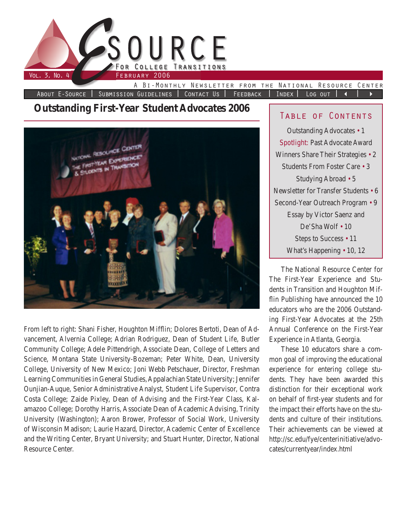

**Outstanding First-Year Student Advocates 2006**



From left to right: Shani Fisher, Houghton Mifflin; Dolores Bertoti, Dean of Advancement, Alvernia College; Adrian Rodriguez, Dean of Student Life, Butler Community College; Adele Pittendrigh, Associate Dean, College of Letters and Science, Montana State University-Bozeman; Peter White, Dean, University College, University of New Mexico; Joni Webb Petschauer, Director, Freshman Learning Communities in General Studies, Appalachian State University; Jennifer Ounjian-Auque, Senior Administrative Analyst, Student Life Supervisor, Contra Costa College; Zaide Pixley, Dean of Advising and the First-Year Class, Kalamazoo College; Dorothy Harris, Associate Dean of Academic Advising, Trinity University (Washington); Aaron Brower, Professor of Social Work, University of Wisconsin Madison; Laurie Hazard, Director, Academic Center of Excellence and the Writing Center, Bryant University; and Stuart Hunter, Director, National Resource Center.

## Table of Contents

Outstanding Advocates • 1 Spotlight: Past Advocate Award Winners Share Their Strategies • 2 Students From Foster Care • 3 Studying Abroad • 5 Newsletter for Transfer Students • 6 Second-Year Outreach Program • 9 Essay by Victor Saenz and De'Sha Wolf • 10 Steps to Success • 11 What's Happening • 10, 12

The National Resource Center for The First-Year Experience and Students in Transition and Houghton Mifflin Publishing have announced the 10 educators who are the 2006 Outstanding First-Year Advocates at the 25th Annual Conference on the First-Year Experience in Atlanta, Georgia.

These 10 educators share a common goal of improving the educational experience for entering college students. They have been awarded this distinction for their exceptional work on behalf of first-year students and for the impact their efforts have on the students and culture of their institutions. Their achievements can be viewed at http://sc.edu/fye/centerinitiative/advocates/currentyear/index.html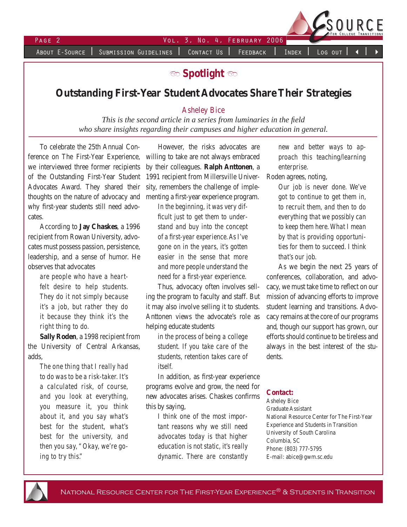About E-Source | Submission Guidelines | Contact Us | Feedback | Index | Log out



**b Spotlight**  $\infty$ 

# **Outstanding First-Year Student Advocates Share Their Strategies**

#### Asheley Bice

*This is the second article in a series from luminaries in the field who share insights regarding their campuses and higher education in general.*

To celebrate the 25th Annual Conference on The First-Year Experience, we interviewed three former recipients of the Outstanding First-Year Student Advocates Award. They shared their thoughts on the nature of advocacy and why first-year students still need advocates.

According to **Jay Chaskes**, a 1996 recipient from Rowan University, advocates must possess passion, persistence, leadership, and a sense of humor. He observes that advocates

*are people who have a heartfelt desire to help students. They do it not simply because it's a job, but rather they do it because they think it's the right thing to do.* 

**Sally Roden**, a 1998 recipient from the University of Central Arkansas, adds,

> *The one thing that I really had to do was to be a risk-taker. It's a calculated risk, of course, and you look at everything, you measure it, you think about it, and you say what's best for the student, what's best for the university, and then you say, "Okay, we're going to try this."*

However, the risks advocates are willing to take are not always embraced by their colleagues. **Ralph Anttonen**, a 1991 recipient from Millersville University, remembers the challenge of implementing a first-year experience program.

> *In the beginning, it was very difficult just to get them to understand and buy into the concept of a first-year experience. As I've gone on in the years, it's gotten easier in the sense that more and more people understand the need for a first-year experience.*

Thus, advocacy often involves selling the program to faculty and staff. But it may also involve selling it to students. Anttonen views the advocate's role as helping educate students

*in the process of being a college student. If you take care of the students, retention takes care of itself.*

In addition, as first-year experience programs evolve and grow, the need for new advocates arises. Chaskes confirms this by saying,

*I think one of the most important reasons why we still need advocates today is that higher education is not static, it's really dynamic. There are constantly* 

*new and better ways to approach this teaching/learning enterprise.*

Roden agrees, noting,

*Our job is never done. We've got to continue to get them in, to recruit them, and then to do everything that we possibly can to keep them here. What I mean by that is providing opportunities for them to succeed. I think that's our job.* 

As we begin the next 25 years of conferences, collaboration, and advocacy, we must take time to reflect on our mission of advancing efforts to improve student learning and transitions. Advocacy remains at the core of our programs and, though our support has grown, our efforts should continue to be tireless and always in the best interest of the students.

#### **Contact:**

Asheley Bice Graduate Assistant National Resource Center for The First-Year Experience and Students in Transition University of South Carolina Columbia, SC Phone: (803) 777-5795 E-mail: abice@gwm.sc.edu

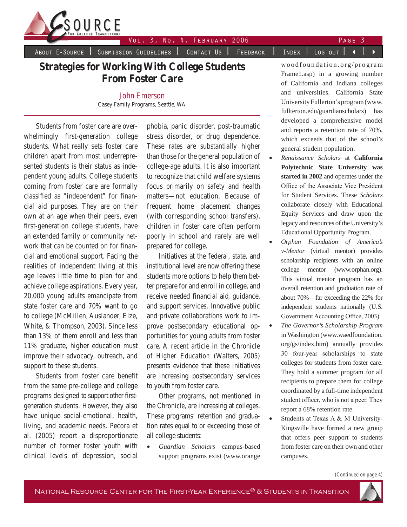

### Vol. 3, No. 4, FEBRUARY 2006 PAGE 3

About E-Source | Submission Guidelines | Contact Us | Feedback | Index | Log out | 4

# **Strategies for Working With College Students From Foster Care**

John Emerson Casey Family Programs, Seattle, WA

Students from foster care are overwhelmingly first-generation college students. What really sets foster care children apart from most underrepresented students is their status as independent young adults. College students coming from foster care are formally classified as "independent" for financial aid purposes. They are on their own at an age when their peers, even first-generation college students, have an extended family or community network that can be counted on for financial and emotional support. Facing the realities of independent living at this age leaves little time to plan for and achieve college aspirations. Every year, 20,000 young adults emancipate from state foster care and 70% want to go to college (McMillen, Auslander, Elze, White, & Thompson, 2003). Since less than 13% of them enroll and less than 11% graduate, higher education must improve their advocacy, outreach, and support to these students.

Students from foster care benefit from the same pre-college and college programs designed to support other firstgeneration students. However, they also have unique social-emotional, health, living, and academic needs. Pecora et al. (2005) report a disproportionate number of former foster youth with clinical levels of depression, social phobia, panic disorder, post-traumatic stress disorder, or drug dependence. These rates are substantially higher than those for the general population of college-age adults. It is also important to recognize that child welfare systems focus primarily on safety and health matters—not education. Because of frequent home placement changes (with corresponding school transfers), children in foster care often perform poorly in school and rarely are well prepared for college.

Initiatives at the federal, state, and institutional level are now offering these students more options to help them better prepare for and enroll in college, and receive needed financial aid, guidance, and support services. Innovative public and private collaborations work to improve postsecondary educational opportunities for young adults from foster care. A recent article in the *Chronicle of Higher Education* (Walters, 2005) presents evidence that these initiatives are increasing postsecondary services to youth from foster care.

Other programs, not mentioned in the *Chronicle,* are increasing at colleges. These programs' retention and graduation rates equal to or exceeding those of all college students:

• *Guardian Scholars* campus-based support programs exist (www.orange

woodfoundation.org/program Frame1.asp) in a growing number of California and Indiana colleges and universities. California State University Fullerton's program (www. fullterton.edu/guardianscholars) has developed a comprehensive model and reports a retention rate of 70%, which exceeds that of the school's general student population.

- *Renaissance Scholars* at **California Polytechnic State University was started in 2002** and operates under the Office of the Associate Vice President for Student Services. These *Scholars* collaborate closely with Educational Equity Services and draw upon the legacy and resources of the University's Educational Opportunity Program.
- *Orphan Foundation of America's v-Mentor* (virtual mentor) provides scholarship recipients with an online college mentor (www.orphan.org). This virtual mentor program has an overall retention and graduation rate of about 70%—far exceeding the 22% for independent students nationally (U.S. Government Accounting Office, 2003).
- *The Governor's Scholarship Program* in Washington (www.waedfoundation. org/gs/index.htm) annually provides 30 four-year scholarships to state colleges for students from foster care. They hold a summer program for all recipients to prepare them for college coordinated by a full-time independent student officer, who is not a peer. They report a 68% retention rate.
- Students at Texas A & M University-Kingsville have formed a new group that offers peer support to students from foster care on their own and other campuses.

*(Continued on page 4)*

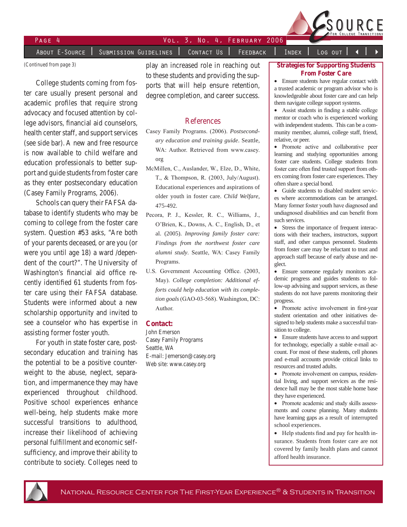

About E-Source | Submission Guidelines | Contact Us | Feedback | Index | Log out

*(Continued from page 3)*

College students coming from foster care usually present personal and academic profiles that require strong advocacy and focused attention by college advisors, financial aid counselors, health center staff, and support services (see side bar). A new and free resource is now available to child welfare and education professionals to better support and guide students from foster care as they enter postsecondary education (Casey Family Programs*,* 2006).

Schools can query their FAFSA database to identify students who may be coming to college from the foster care system. Question #53 asks, "Are both of your parents deceased, or are you (or were you until age 18) a ward /dependent of the court?". The University of Washington's financial aid office recently identified 61 students from foster care using their FAFSA database. Students were informed about a new scholarship opportunity and invited to see a counselor who has expertise in assisting former foster youth.

For youth in state foster care, postsecondary education and training has the potential to be a positive counterweight to the abuse, neglect, separation, and impermanence they may have experienced throughout childhood. Positive school experiences enhance well-being, help students make more successful transitions to adulthood, increase their likelihood of achieving personal fulfillment and economic selfsufficiency, and improve their ability to contribute to society. Colleges need to play an increased role in reaching out to these students and providing the supports that will help ensure retention, degree completion, and career success.

#### References

- Casey Family Programs. (2006). *Postsecondary education and training guide*. Seattle, WA: Author. Retrieved from www.casey. org
- McMillen, C., Auslander, W., Elze, D., White, T., & Thompson, R. (2003, July/August). Educational experiences and aspirations of older youth in foster care. *Child Welfare*, 475-492.
- Pecora, P. J., Kessler, R. C., Williams, J., O'Brien, K., Downs, A. C., English, D., et al. (2005). *Improving family foster care: Findings from the northwest foster care alumni study*. Seattle, WA: Casey Family Programs.
- U.S. Government Accounting Office. (2003, May). *College completion: Additional efforts could help education with its completion goals* (GAO-03-568). Washington, DC: Author.

#### **Contact:**

John Emerson Casey Family Programs Seattle, WA E-mail: Jemerson@casey.org Web site: www.casey.org

#### **Strategies for Supporting Students From Foster Care**

• Ensure students have regular contact with a trusted academic or program advisor who is knowledgeable about foster care and can help them navigate college support systems.

• Assist students in finding a stable college mentor or coach who is experienced working with independent students. This can be a community member, alumni, college staff, friend, relative, or peer.

- Promote active and collaborative peer learning and studying opportunities among foster care students. College students from foster care often find trusted support from others coming from foster care experiences. They often share a special bond.
- Guide students to disabled student services where accommodations can be arranged. Many former foster youth have diagnosed and undiagnosed disabilities and can benefit from such services.
- Stress the importance of frequent interactions with their teachers, instructors, support staff, and other campus personnel. Students from foster care may be reluctant to trust and approach staff because of early abuse and neglect.
- Ensure someone regularly monitors academic progress and guides students to follow-up advising and support services, as these students do not have parents monitoring their progress.
- Promote active involvement in first-year student orientation and other initiatives designed to help students make a successful transition to college.
- Ensure students have access to and support for technology, especially a stable e-mail account. For most of these students, cell phones and e-mail accounts provide critical links to resources and trusted adults.
- Promote involvement on campus, residential living, and support services as the residence hall may be the most stable home base they have experienced.
- Promote academic and study skills assessments and course planning. Many students have learning gaps as a result of interrupted school experiences.
- Help students find and pay for health insurance. Students from foster care are not covered by family health plans and cannot afford health insurance.

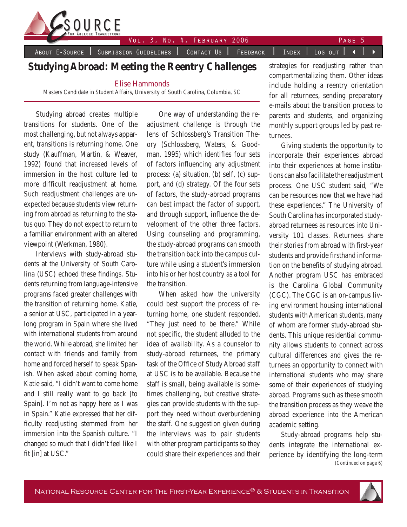

About E-Source | Submission Guidelines | Contact Us | Feedback | Index | Log out | 4 |

# **Studying Abroad: Meeting the Reentry Challenges**

Elise Hammonds

Masters Candidate in Student Affairs, University of South Carolina, Columbia, SC

Studying abroad creates multiple transitions for students. One of the most challenging, but not always apparent, transitions is returning home. One study (Kauffman, Martin, & Weaver, 1992) found that increased levels of immersion in the host culture led to more difficult readjustment at home. Such readjustment challenges are unexpected because students view returning from abroad as returning to the status quo. They do not expect to return to a familiar environment with an altered viewpoint (Werkman, 1980).

Interviews with study-abroad students at the University of South Carolina (USC) echoed these findings. Students returning from language-intensive programs faced greater challenges with the transition of returning home. Katie, a senior at USC, participated in a yearlong program in Spain where she lived with international students from around the world. While abroad, she limited her contact with friends and family from home and forced herself to speak Spanish. When asked about coming home, Katie said, "I didn't want to come home and I still really want to go back [to Spain]. I'm not as happy here as I was in Spain." Katie expressed that her difficulty readjusting stemmed from her immersion into the Spanish culture. "I changed so much that I didn't feel like I fit [in] at USC."

One way of understanding the readjustment challenge is through the lens of Schlossberg's Transition Theory (Schlossberg, Waters, & Goodman, 1995) which identifies four sets of factors influencing any adjustment process: (a) situation, (b) self, (c) support, and (d) strategy. Of the four sets of factors, the study-abroad programs can best impact the factor of support, and through support, influence the development of the other three factors. Using counseling and programming, the study-abroad programs can smooth the transition back into the campus culture while using a student's immersion into his or her host country as a tool for the transition.

When asked how the university could best support the process of returning home, one student responded, "They just need to be there." While not specific, the student alluded to the idea of availability. As a counselor to study-abroad returnees, the primary task of the Office of Study Abroad staff at USC is to be available. Because the staff is small, being available is sometimes challenging, but creative strategies can provide students with the support they need without overburdening the staff. One suggestion given during the interviews was to pair students with other program participants so they could share their experiences and their

strategies for readjusting rather than compartmentalizing them. Other ideas include holding a reentry orientation for all returnees, sending preparatory e-mails about the transition process to parents and students, and organizing monthly support groups led by past returnees.

Giving students the opportunity to incorporate their experiences abroad into their experiences at home institutions can also facilitate the readjustment process. One USC student said, "We can be resources now that we have had these experiences." The University of South Carolina has incorporated studyabroad returnees as resources into University 101 classes. Returnees share their stories from abroad with first-year students and provide firsthand information on the benefits of studying abroad. Another program USC has embraced is the Carolina Global Community (CGC). The CGC is an on-campus living environment housing international students with American students, many of whom are former study-abroad students. This unique residential community allows students to connect across cultural differences and gives the returnees an opportunity to connect with international students who may share some of their experiences of studying abroad. Programs such as these smooth the transition process as they weave the abroad experience into the American academic setting.

*(Continued on page 6)* Study-abroad programs help students integrate the international experience by identifying the long-term

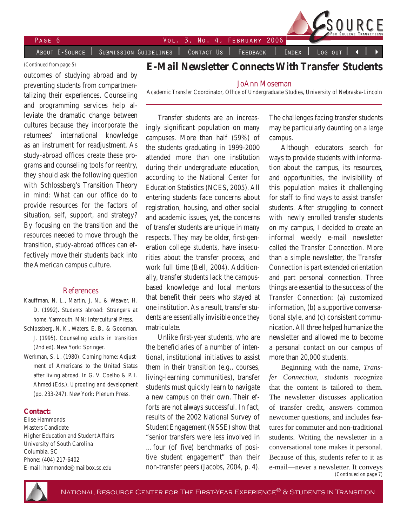Page Vol. 3, No. 4, February 2006

About E-Source | Submission Guidelines | Contact Us | Feedback | Index | Log out

#### *(Continued from page 5)*

outcomes of studying abroad and by preventing students from compartmentalizing their experiences. Counseling and programming services help alleviate the dramatic change between cultures because they incorporate the returnees' international knowledge as an instrument for readjustment. As study-abroad offices create these programs and counseling tools for reentry, they should ask the following question with Schlossberg's Transition Theory in mind: What can our office do to provide resources for the factors of situation, self, support, and strategy? By focusing on the transition and the resources needed to move through the transition, study-abroad offices can effectively move their students back into the American campus culture.

#### References

- Kauffman, N. L., Martin, J. N., & Weaver, H. D. (1992). *Students abroad: Strangers at home.* Yarmouth, MN: Intercultural Press.
- Schlossberg, N. K., Waters, E. B., & Goodman, J. (1995). *Counseling adults in transition* (2nd ed). New York: Springer.
- Werkman, S. L. (1980). Coming home: Adjustment of Americans to the United States after living abroad. In G. V. Coelho & P. I. Ahmed (Eds.), *Uprooting and development* (pp. 233-247). New York: Plenum Press.

#### **Contact:**

Elise Hammonds Masters Candidate Higher Education and Student Affairs University of South Carolina Columbia, SC Phone: (404) 217-6402 E-mail: hammonde@mailbox.sc.edu

# **E-Mail Newsletter Connects With Transfer Students**

#### JoAnn Moseman

Academic Transfer Coordinator, Office of Undergraduate Studies, University of Nebraska-Lincoln

Transfer students are an increasingly significant population on many campuses. More than half (59%) of the students graduating in 1999-2000 attended more than one institution during their undergraduate education, according to the National Center for Education Statistics (NCES, 2005). All entering students face concerns about registration, housing, and other social and academic issues, yet, the concerns of transfer students are unique in many respects. They may be older, first-generation college students, have insecurities about the transfer process, and work full time (Bell, 2004). Additionally, transfer students lack the campusbased knowledge and local mentors that benefit their peers who stayed at one institution. As a result, transfer students are essentially invisible once they matriculate.

Unlike first-year students, who are the beneficiaries of a number of intentional, institutional initiatives to assist them in their transition (e.g., courses, living-learning communities), transfer students must quickly learn to navigate a new campus on their own. Their efforts are not always successful. In fact, results of the 2002 National Survey of Student Engagement (NSSE) show that "senior transfers were less involved in …four (of five) benchmarks of positive student engagement" than their non-transfer peers (Jacobs, 2004, p. 4).

The challenges facing transfer students may be particularly daunting on a large campus.

Although educators search for ways to provide students with information about the campus, its resources, and opportunities, the invisibility of this population makes it challenging for staff to find ways to assist transfer students. After struggling to connect with newly enrolled transfer students on my campus, I decided to create an informal weekly e-mail newsletter called the *Transfer Connection*. More than a simple newsletter, the *Transfer Connection* is part extended orientation and part personal connection. Three things are essential to the success of the *Transfer Connection*: (a) customized information, (b) a supportive conversational style, and (c) consistent communication. All three helped humanize the newsletter and allowed me to become a personal contact on our campus of more than 20,000 students.

*(Continued on page 7)* Beginning with the name, *Transfer Connection,* students recognize that the content is tailored to them. The newsletter discusses application of transfer credit, answers common newcomer questions, and includes features for commuter and non-traditional students. Writing the newsletter in a conversational tone makes it personal. Because of this, students refer to it as e-mail—never a newsletter. It conveys

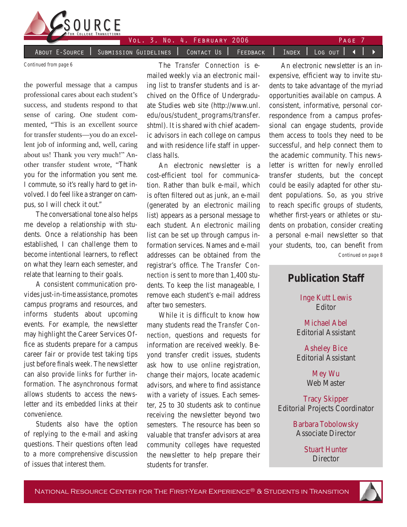

About E-Source | Submission Guidelines | Contact Us | Feedback | Index | Log out | 4

*Continued from page 6*

the powerful message that a campus professional cares about each student's success, and students respond to that sense of caring. One student commented, "This is an excellent source for transfer students—you do an excellent job of informing and, well, caring about us! Thank you very much!" Another transfer student wrote, "Thank you for the information you sent me. I commute, so it's really hard to get involved. I do feel like a stranger on campus, so I will check it out."

The conversational tone also helps me develop a relationship with students. Once a relationship has been established, I can challenge them to become intentional learners, to reflect on what they learn each semester, and relate that learning to their goals.

A consistent communication provides just-in-time assistance, promotes campus programs and resources, and informs students about upcoming events. For example, the newsletter may highlight the Career Services Office as students prepare for a campus career fair or provide test taking tips just before finals week. The newsletter can also provide links for further information. The asynchronous format allows students to access the newsletter and its embedded links at their convenience.

Students also have the option of replying to the e-mail and asking questions. Their questions often lead to a more comprehensive discussion of issues that interest them.

The *Transfer Connection* is emailed weekly via an electronic mailing list to transfer students and is archived on the Office of Undergraduate Studies web site (http://www.unl. edu/ous/student\_programs/transfer. shtml). It is shared with chief academic advisors in each college on campus and with residence life staff in upperclass halls.

An electronic newsletter is a cost-efficient tool for communication. Rather than bulk e-mail, which is often filtered out as junk, an e-mail (generated by an electronic mailing list) appears as a personal message to each student. An electronic mailing list can be set up through campus information services. Names and e-mail addresses can be obtained from the registrar's office. The *Transfer Connection* is sent to more than 1,400 students. To keep the list manageable, I remove each student's e-mail address after two semesters.

While it is difficult to know how many students read the *Transfer Connection*, questions and requests for information are received weekly. Beyond transfer credit issues, students ask how to use online registration, change their majors, locate academic advisors, and where to find assistance with a variety of issues. Each semester, 25 to 30 students ask to continue receiving the newsletter beyond two semesters. The resource has been so valuable that transfer advisors at area community colleges have requested the newsletter to help prepare their students for transfer.

An electronic newsletter is an inexpensive, efficient way to invite students to take advantage of the myriad opportunities available on campus. A consistent, informative, personal correspondence from a campus professional can engage students, provide them access to tools they need to be successful, and help connect them to the academic community. This newsletter is written for newly enrolled transfer students, but the concept could be easily adapted for other student populations. So, as you strive to reach specific groups of students, whether first-years or athletes or students on probation, consider creating a personal e-mail newsletter so that your students, too, can benefit from

*Continued on page 8*

# **Publication Staff**

Inge Kutt Lewis Editor

Michael Abel Editorial Assistant

Asheley Bice Editorial Assistant

> Mey Wu Web Master

Tracy Skipper Editorial Projects Coordinator

> Barbara Tobolowsky Associate Director

> > Stuart Hunter **Director**

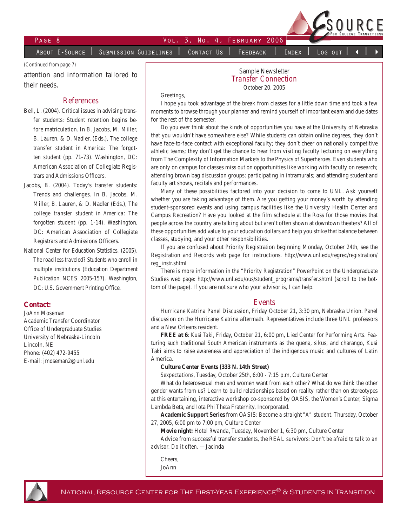

About E-Source | Submission Guidelines | Contact Us | Feedback | Index | Log out

*(Continued from page 7)*

attention and information tailored to their needs.

#### References

- Bell, L. (2004). Critical issues in advising transfer students: Student retention begins before matriculation. In B. Jacobs, M. Miller, B. Lauren, & D. Nadler, (Eds.), *The college transfer student in America: The forgotten student* (pp. 71-73). Washington, DC: American Association of Collegiate Registrars and Admissions Officers.
- Jacobs, B. (2004). Today's transfer students: Trends and challenges. In B. Jacobs, M. Miller, B. Lauren, & D. Nadler (Eds.), *The college transfer student in America: The forgotten student* (pp. 1-14). Washington, DC: American Association of Collegiate Registrars and Admissions Officers.
- National Center for Education Statistics. (2005). *The road less traveled? Students who enroll in multiple institutions* (Education Department Publication NCES 2005-157). Washington, DC: U.S. Government Printing Office.

#### **Contact:**

JoAnn Moseman Academic Transfer Coordinator Office of Undergraduate Studies University of Nebraska-Lincoln Lincoln, NE Phone: (402) 472-9455 E-mail: jmoseman2@unl.edu

Sample Newsletter *Transfer Connection* October 20, 2005

Greetings,

I hope you took advantage of the break from classes for a little down time and took a few moments to browse through your planner and remind yourself of important exam and due dates for the rest of the semester.

Do you ever think about the kinds of opportunities you have at the University of Nebraska that you wouldn't have somewhere else? While students can obtain online degrees, they don't have face-to-face contact with exceptional faculty; they don't cheer on nationally competitive athletic teams; they don't get the chance to hear from visiting faculty lecturing on everything from The Complexity of Information Markets to the Physics of Superheroes. Even students who are only on campus for classes miss out on opportunities like working with faculty on research; attending brown bag discussion groups; participating in intramurals; and attending student and faculty art shows, recitals and performances.

Many of these possibilities factored into your decision to come to UNL. Ask yourself whether you are taking advantage of them. Are you getting your money's worth by attending student-sponsored events and using campus facilities like the University Health Center and Campus Recreation? Have you looked at the film schedule at the Ross for those movies that people across the country are talking about but aren't often shown at downtown theaters? All of these opportunities add value to your education dollars and help you strike that balance between classes, studying, and your other responsibilities.

If you are confused about Priority Registration beginning Monday, October 24th, see the Registration and Records web page for instructions. http://www.unl.edu/regrec/registration/ reg\_instr.shtml

There is more information in the "Priority Registration" PowerPoint on the Undergraduate Studies web page: http://www.unl.edu/ous/student\_programs/transfer.shtml (scroll to the bottom of the page). If you are not sure who your advisor is, I can help.

#### Events

*Hurricane Katrina Panel Discussion*, Friday October 21, 3:30 pm, Nebraska Union. Panel discussion on the Hurricane Katrina aftermath. Representatives include three UNL professors and a New Orleans resident.

**FREE at 6**: *Kusi Taki*, Friday, October 21, 6:00 pm, Lied Center for Performing Arts. Featuring such traditional South American instruments as the quena, sikus, and charango, Kusi Taki aims to raise awareness and appreciation of the indigenous music and cultures of Latin America.

#### **Culture Center Events (333 N. 14th Street)**

*Sexpectations*, Tuesday, October 25th, 6:00 - 7:15 p.m, Culture Center

What do heterosexual men and women want from each other? What do we think the other gender wants from us? Learn to build relationships based on reality rather than on stereotypes at this entertaining, interactive workshop co-sponsored by OASIS, the Women's Center, Sigma Lambda Beta, and Iota Phi Theta Fraternity, Incorporated.

**Academic Support Series** from OASIS: *Become a straight "A" student.* Thursday, October 27, 2005, 6:00 pm to 7:00 pm, Culture Center

**Movie night:** *Hotel Rwanda*, Tuesday, November 1, 6:30 pm, Culture Center

Advice from successful transfer students, the REAL survivors: *Don't be afraid to talk to an advisor. Do it often.* —Jacinda

Cheers, JoAnn

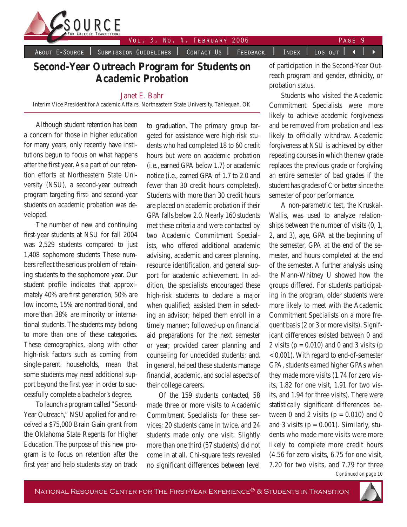

About E-Source | Submission Guidelines | Contact Us | Feedback | Index | Log out | 4

## **Second-Year Outreach Program for Students on Academic Probation**

#### Janet E. Bahr

Interim Vice President for Academic Affairs, Northeastern State University, Tahlequah, OK

Although student retention has been a concern for those in higher education for many years, only recently have institutions begun to focus on what happens after the first year. As a part of our retention efforts at Northeastern State University (NSU), a second-year outreach program targeting first- and second-year students on academic probation was developed.

The number of new and continuing first-year students at NSU for fall 2004 was 2,529 students compared to just 1,408 sophomore students These numbers reflect the serious problem of retaining students to the sophomore year. Our student profile indicates that approximately 40% are first generation, 50% are low income, 15% are nontraditional, and more than 38% are minority or international students. The students may belong to more than one of these categories. These demographics, along with other high-risk factors such as coming from single-parent households, mean that some students may need additional support beyond the first year in order to successfully complete a bachelor's degree.

To launch a program called "Second-Year Outreach," NSU applied for and received a \$75,000 Brain Gain grant from the Oklahoma State Regents for Higher Education. The purpose of this new program is to focus on retention after the first year and help students stay on track to graduation. The primary group targeted for assistance were high-risk students who had completed 18 to 60 credit hours but were on academic probation (i.e., earned GPA below 1.7) or academic notice (i.e., earned GPA of 1.7 to 2.0 and fewer than 30 credit hours completed). Students with more than 30 credit hours are placed on academic probation if their GPA falls below 2.0. Nearly 160 students met these criteria and were contacted by two Academic Commitment Specialists, who offered additional academic advising, academic and career planning, resource identification, and general support for academic achievement. In addition, the specialists encouraged these high-risk students to declare a major when qualified; assisted them in selecting an advisor; helped them enroll in a timely manner; followed-up on financial aid preparations for the next semester or year; provided career planning and counseling for undecided students; and, in general, helped these students manage financial, academic, and social aspects of their college careers.

Of the 159 students contacted, 58 made three or more visits to Academic Commitment Specialists for these services; 20 students came in twice, and 24 students made only one visit. Slightly more than one third (57 students) did not come in at all. Chi-square tests revealed no significant differences between level of participation in the Second-Year Outreach program and gender, ethnicity, or probation status.

Students who visited the Academic Commitment Specialists were more likely to achieve academic forgiveness and be removed from probation and less likely to officially withdraw. Academic forgiveness at NSU is achieved by either repeating courses in which the new grade replaces the previous grade or forgiving an entire semester of bad grades if the student has grades of C or better since the semester of poor performance.

A non-parametric test, the Kruskal-Wallis, was used to analyze relationships between the number of visits (0, 1, 2, and 3), age, GPA at the beginning of the semester, GPA at the end of the semester, and hours completed at the end of the semester. A further analysis using the Mann-Whitney U showed how the groups differed. For students participating in the program, older students were more likely to meet with the Academic Commitment Specialists on a more frequent basis (2 or 3 or more visits). Significant differences existed between 0 and 2 visits ( $p = 0.010$ ) and 0 and 3 visits ( $p = 0.010$ ) < 0.001). With regard to end-of-semester GPA, students earned higher GPAs when they made more visits (1.74 for zero visits, 1.82 for one visit, 1.91 for two visits, and 1.94 for three visits). There were statistically significant differences between 0 and 2 visits ( $p = 0.010$ ) and 0 and 3 visits ( $p = 0.001$ ). Similarly, students who made more visits were more likely to complete more credit hours (4.56 for zero visits, 6.75 for one visit, 7.20 for two visits, and 7.79 for three



*Continued on page 10*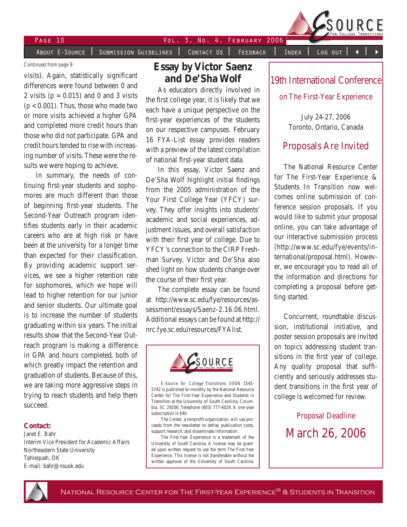

PAGE 10 VOL. 3, NO. 4, FEBRUARY 2006 About E-Source | Submission Guidelines | Contact Us | Feedback | Index | Log out

*Continued from page 9*

visits). Again, statistically significant differences were found between 0 and 2 visits ( $p = 0.015$ ) and 0 and 3 visits  $(p < 0.001)$ . Thus, those who made two or more visits achieved a higher GPA and completed more credit hours than those who did not participate. GPA and credit hours tended to rise with increasing number of visits. These were the results we were hoping to achieve.

In summary, the needs of continuing first-year students and sophomores are much different than those of beginning first-year students. The Second-Year Outreach program identifies students early in their academic careers who are at high risk or have been at the university for a longer time than expected for their classification. By providing academic support services, we see a higher retention rate for sophomores, which we hope will lead to higher retention for our junior and senior students. Our ultimate goal is to increase the number of students graduating within six years. The initial results show that the Second-Year Outreach program is making a difference in GPA and hours completed, both of which greatly impact the retention and graduation of students. Because of this, we are taking more aggressive steps in trying to reach students and help them succeed.

#### **Contact:**

Janet E. Bahr Interim Vice President for Academic Affairs Northeastern State University Tahlequah, OK E-mail: bahr@nsuok.edu

# **Essay by Victor Saenz and De'Sha Wolf**

As educators directly involved in the first college year, it is likely that we each have a unique perspective on the first-year experiences of the students on our respective campuses. February 16 FYA-List essay provides readers with a preview of the latest compilation of national first-year student data.

In this essay, Victor Saenz and De'Sha Wolf highlight initial findings from the 2005 administration of the Your First College Year (YFCY) survey. They offer insights into students' academic and social experiences, adjustment issues, and overall satisfaction with their first year of college. Due to YFCY's connection to the CIRP Freshman Survey, Victor and De'Sha also shed light on how students change over the course of their first year.

The complete essay can be found at http://www.sc.edu/fye/resources/assessment/essays/Saenz-2.16.06.html. Additional essays can be found at http:// nrc.fye.sc.edu/resources/FYAlist.



*E-Source for College Transitions* (ISSN 1545- 5742 is published bi-monthly by the National Resource Center for The First-Year Experience and Students in Transition at the University of South Carolina, Columbia, SC 29208. Telephone (803) 777-6029. A one-year subscription is \$40.

The Center, a nonprofit organization, will use proceeds from the newsletter to defray publication costs, support research, and disseminate information.

The First-Year Experience is a trademark of the University of South Carolina. A license may be granted upon written request to use the term The First-Year Experience. This license is not transferable without the written approval of the University of South Carolina.

## 19th International Conference

on The First-Year Experience

July 24-27, 2006 Toronto, Ontario, Canada

## Proposals Are Invited

The National Resource Center for The First-Year Experience & Students In Transition now welcomes online submission of conference session proposals. If you would like to submit your proposal online, you can take advantage of our interactive submission process (http://www.sc.edu/fye/events/international/proposal.html). However, we encourage you to read all of the information and directions for completing a proposal before getting started.

Concurrent, roundtable discussion, institutional initiative, and poster session proposals are invited on topics addressing student transitions in the first year of college. Any quality proposal that sufficiently and seriously addresses student transitions in the first year of college is welcomed for review.

> Proposal Deadline March 26, 2006

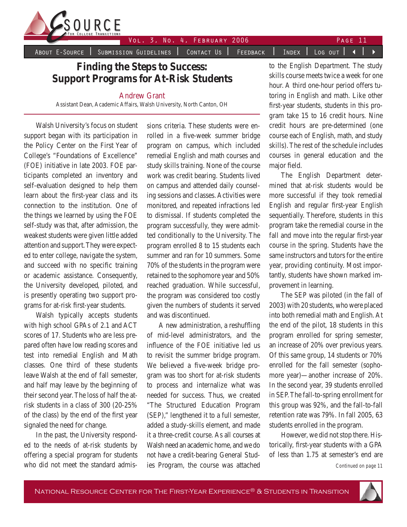

About E-Source | Submission Guidelines | Contact Us | Feedback | Index | Log out | 4 |

**Finding the Steps to Success: Support Programs for At-Risk Students**

#### Andrew Grant

Assistant Dean, Academic Affairs, Walsh University, North Canton, OH

Walsh University's focus on student support began with its participation in the Policy Center on the First Year of College's "Foundations of Excellence" (FOE) initiative in late 2003. FOE participants completed an inventory and self-evaluation designed to help them learn about the first-year class and its connection to the institution. One of the things we learned by using the FOE self-study was that, after admission, the weakest students were given little added attention and support. They were expected to enter college, navigate the system, and succeed with no specific training or academic assistance. Consequently, the University developed, piloted, and is presently operating two support programs for at-risk first-year students.

Walsh typically accepts students with high school GPAs of 2.1 and ACT scores of 17. Students who are less prepared often have low reading scores and test into remedial English and Math classes. One third of these students leave Walsh at the end of fall semester, and half may leave by the beginning of their second year. The loss of half the atrisk students in a class of 300 (20-25% of the class) by the end of the first year signaled the need for change.

In the past, the University responded to the needs of at-risk students by offering a special program for students who did not meet the standard admissions criteria. These students were enrolled in a five-week summer bridge program on campus, which included remedial English and math courses and study skills training. None of the course work was credit bearing. Students lived on campus and attended daily counseling sessions and classes. Activities were monitored, and repeated infractions led to dismissal. If students completed the program successfully, they were admitted conditionally to the University. The program enrolled 8 to 15 students each summer and ran for 10 summers. Some 70% of the students in the program were retained to the sophomore year and 50% reached graduation. While successful, the program was considered too costly given the numbers of students it served and was discontinued.

A new administration, a reshuffling of mid-level administrators, and the influence of the FOE initiative led us to revisit the summer bridge program. We believed a five-week bridge program was too short for at-risk students to process and internalize what was needed for success. Thus, we created "The Structured Education Program (SEP)," lengthened it to a full semester, added a study-skills element, and made it a three-credit course. As all courses at Walsh need an academic home, and we do not have a credit-bearing General Studies Program, the course was attached

to the English Department. The study skills course meets twice a week for one hour. A third one-hour period offers tutoring in English and math. Like other first-year students, students in this program take 15 to 16 credit hours. Nine credit hours are pre-determined (one course each of English, math, and study skills). The rest of the schedule includes courses in general education and the major field.

The English Department determined that at-risk students would be more successful if they took remedial English and regular first-year English sequentially. Therefore, students in this program take the remedial course in the fall and move into the regular first-year course in the spring. Students have the same instructors and tutors for the entire year, providing continuity. Most importantly, students have shown marked improvement in learning.

The SEP was piloted (in the fall of 2003) with 20 students, who were placed into both remedial math and English. At the end of the pilot, 18 students in this program enrolled for spring semester, an increase of 20% over previous years. Of this same group, 14 students or 70% enrolled for the fall semester (sophomore year)—another increase of 20%. In the second year, 39 students enrolled in SEP. The fall-to-spring enrollment for this group was 92%, and the fall-to-fall retention rate was 79%. In fall 2005, 63 students enrolled in the program.

However, we did not stop there. Historically, first-year students with a GPA of less than 1.75 at semester's end are

*Continued on page 11*